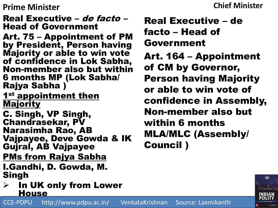### **Chief Minister**

## Real Executive – de facto – Head of Government

- Art. 75 Appointment of PM by President, Person having Majority or able to win vote of confidence in Lok Sabha, Non-member also but within 6 months MP (Lok Sabha/ Rajya Sabha )
- 1<sup>st</sup> appointment then Majority
- C. Singh, VP Singh, Chandrasekar, PV Narasimha Rao, AB Vajpayee, Deve Gowda & IK Gujral, AB Vajpayee
- PMs from Rajya Sabha
- I.Gandhi, D. Gowda, M. Singh
- $\triangleright$  In UK only from Lower House

CCE-PDPU http://www.pdpu.ac.in/ VenkataKrishnan Source: Laxmikanth

Real Executive – de facto – Head of Government Art. 164 – Appointment of CM by Governor, Person having Majority or able to win vote of confidence in Assembly,

Non-member also but within 6 months MLA/MLC (Assembly/ Council )

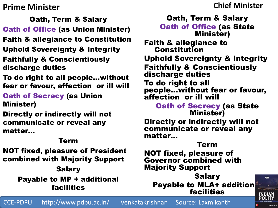**Chief Minister**

Oath, Term & Salary Oath of Office (as Union Minister) Faith & allegiance to Constitution Uphold Sovereignty & Integrity Faithfully & Conscientiously discharge duties

To do right to all people…without fear or favour, affection or ill will

Oath of Secrecy (as Union Minister)

Directly or indirectly will not communicate or reveal any matter…

#### Term

NOT fixed, pleasure of President combined with Majority Support

#### **Salary** Payable to MP + additional facilities

Oath, Term & Salary Oath of Office (as State Minister) Faith & allegiance to Constitution Uphold Sovereignty & Integrity Faithfully & Conscientiously discharge duties To do right to all people…without fear or favour, affection or ill will Oath of Secrecy (as State Minister) Directly or indirectly will not communicate or reveal any matter… Term NOT fixed, pleasure of Governor combined with Majority Support Salary **FIFTH Payable to MLA+ addition** 

facilities

**INDIAN** POLITY

CCE-PDPU http://www.pdpu.ac.in/ VenkataKrishnan Source: Laxmikanth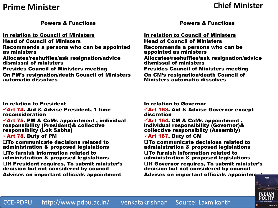#### **Chief Minister**

Powers & Functions

In relation to Council of Ministers

- Head of Council of Ministers
- Recommends a persons who can be appointed as ministers
- Allocates/reshuffles/ask resignation/advice dismissal of ministers
- Presides Council of Ministers meeting

On PM's resignation/death Council of Ministers automatic dissolves

#### In relation to President

 $\sqrt{2}$ Art 74. Aid & Advise President, 1 time reconsideration

 $\sqrt{2}$ Art 75. PM & CoMs appointment, individual responsibility (President)& collective responsibilty (Lok Sabha)

 $\sqrt{$ Art 78. Duty of PM

To communicate decisions related to administration & proposed legislations To furnish information related to administration & proposed legislations

If President requires, To submit minister's decision but not considered by council Advises on important officials appointment

Powers & Functions

In relation to Council of Ministers Head of Council of Ministers Recommends a persons who can be appointed as ministers Allocates/reshuffles/ask resignation/advice dismissal of ministers Presides Council of Ministers meeting On CM's resignation/death Council of Ministers automatic dissolves

#### In relation to Governor

 $\sqrt{2}$ Art 163. Aid & Advise Governor except discretion

 $\sqrt{2}$ Art 164. CM & CoMs appointment, individual responsibility (Governor)& collective responsibilty (Assembly)

 $\sqrt{2}$ Art 167. Duty of CM

To communicate decisions related to administration & proposed legislations To furnish information related to administration & proposed legislations

 $\Box$ If Governor requires, To submit minister's decision but not considered by council Advises on important officials appointment

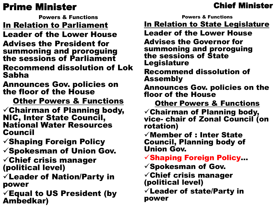Powers & Functions

In Relation to Parliament

Leader of the Lower House

Advises the President for summoning and proroguing the sessions of Parliament

Recommend dissolution of Lok Sabha

Announces Gov. policies on the floor of the House

Other Powers & Functions

 $\checkmark$ Chairman of Planning body, NIC, Inter State Council, National Water Resources Council

 $\checkmark$ Shaping Foreign Policy  $\checkmark$ Spokesman of Union Gov.

 $\checkmark$ Chief crisis manager (political level)

 $\checkmark$  Leader of Nation/Party in power

 $\checkmark$  Equal to US President (by Ambedkar)

# Chief Minister

Powers & Functions

**In Relation to State Legislature** Leader of the Lower House Advises the Governor for

summoning and proroguing the sessions of State Legislature

Recommend dissolution of Assembly

Announces Gov. policies on the floor of the House

Other Powers & Functions

 $\checkmark$ Chairman of Planning body, vice- chair of Zonal Council (on rotation)

 $\checkmark$  Member of : Inter State Council, Planning body of Union Gov.

 $\checkmark$ Shaping Foreign Policy...

 $\checkmark$ Spokesman of Gov.

 $\checkmark$ Chief crisis manager (political level)

 $\checkmark$  Leader of state/Party in power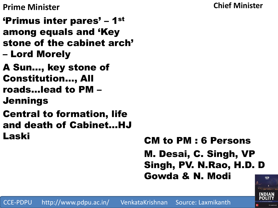**Chief Minister**

**Prime Minister**

'Primus inter pares' – 1st among equals and 'Key stone of the cabinet arch' – Lord Morely

A Sun…, key stone of Constitution…, All roads…lead to PM – Jennings

Central to formation, life and death of Cabinet…HJ Laski

CM to PM : 6 Persons M. Desai, C. Singh, VP Singh, PV. N.Rao, H.D. D Gowda & N. Modi



CCE-PDPU http://www.pdpu.ac.in/ VenkataKrishnan Source: Laxmikanth